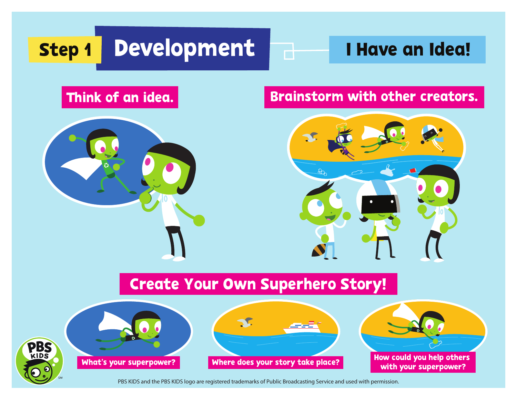## Step 1 Development 1 Have an Idea!



### Think of an idea. Brainstorm with other creators.



## Create Your Own Superhero Story!



PBS KIDS



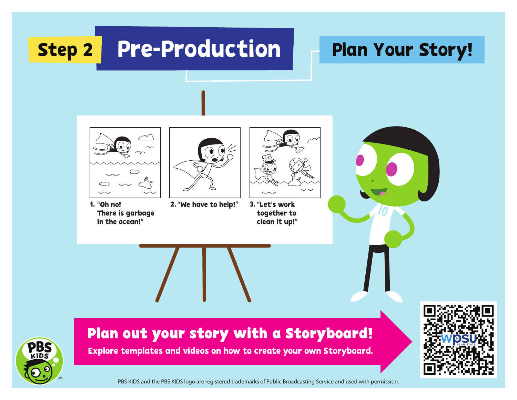## Step 2 Pre-Production **Plan Your Story!**



"Oh no! There is garbage in the ocean!"



2. "We have to help!"



together to clean it up!" 3. "Let's work





### **Plan out your story with a Storyboard!**

Explore templates and videos on how to create your own Storyboard.

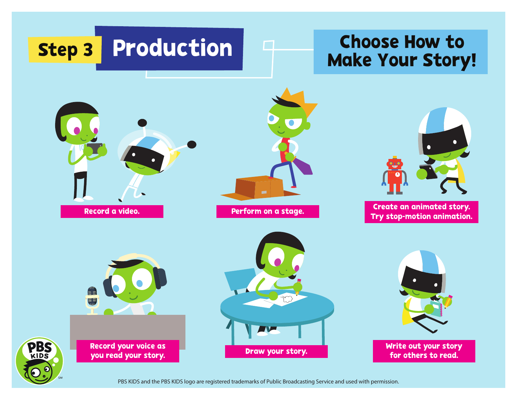# Step 3 Production | 4 The Shows How To

# Production | 4 Choose How to







Create an animated story. Try stop-motion animation.



Record your voice as you read your story.

**PBS** 





for others to read.